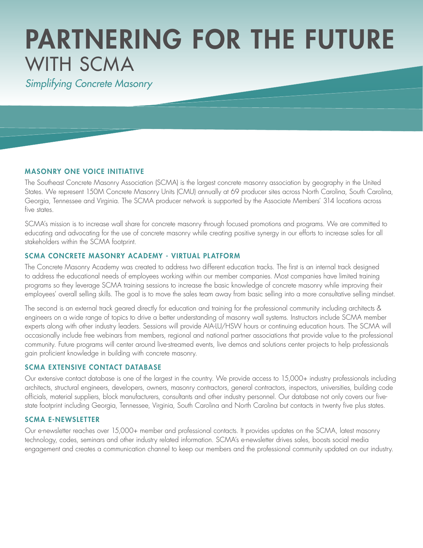# PARTNERING FOR THE FUTURE WITH SCMA

*Simplifying Concrete Masonry*

## MASONRY ONE VOICE INITIATIVE

The Southeast Concrete Masonry Association (SCMA) is the largest concrete masonry association by geography in the United States. We represent 150M Concrete Masonry Units (CMU) annually at 69 producer sites across North Carolina, South Carolina, Georgia, Tennessee and Virginia. The SCMA producer network is supported by the Associate Members' 314 locations across five states.

SCMA's mission is to increase wall share for concrete masonry through focused promotions and programs. We are committed to educating and advocating for the use of concrete masonry while creating positive synergy in our efforts to increase sales for all stakeholders within the SCMA footprint.

### SCMA CONCRETE MASONRY ACADEMY - VIRTUAL PLATFORM

The Concrete Masonry Academy was created to address two different education tracks. The first is an internal track designed to address the educational needs of employees working within our member companies. Most companies have limited training programs so they leverage SCMA training sessions to increase the basic knowledge of concrete masonry while improving their employees' overall selling skills. The goal is to move the sales team away from basic selling into a more consultative selling mindset.

The second is an external track geared directly for education and training for the professional community including architects & engineers on a wide range of topics to drive a better understanding of masonry wall systems. Instructors include SCMA member experts along with other industry leaders. Sessions will provide AIA-LU/HSW hours or continuing education hours. The SCMA will occasionally include free webinars from members, regional and national partner associations that provide value to the professional community. Future programs will center around live-streamed events, live demos and solutions center projects to help professionals gain proficient knowledge in building with concrete masonry.

## SCMA EXTENSIVE CONTACT DATABASE

Our extensive contact database is one of the largest in the country. We provide access to 15,000+ industry professionals including architects, structural engineers, developers, owners, masonry contractors, general contractors, inspectors, universities, building code officials, material suppliers, block manufacturers, consultants and other industry personnel. Our database not only covers our fivestate footprint including Georgia, Tennessee, Virginia, South Carolina and North Carolina but contacts in twenty five plus states.

#### SCMA E-NEWSLETTER

Our e-newsletter reaches over 15,000+ member and professional contacts. It provides updates on the SCMA, latest masonry technology, codes, seminars and other industry related information. SCMA's e-newsletter drives sales, boosts social media engagement and creates a communication channel to keep our members and the professional community updated on our industry.